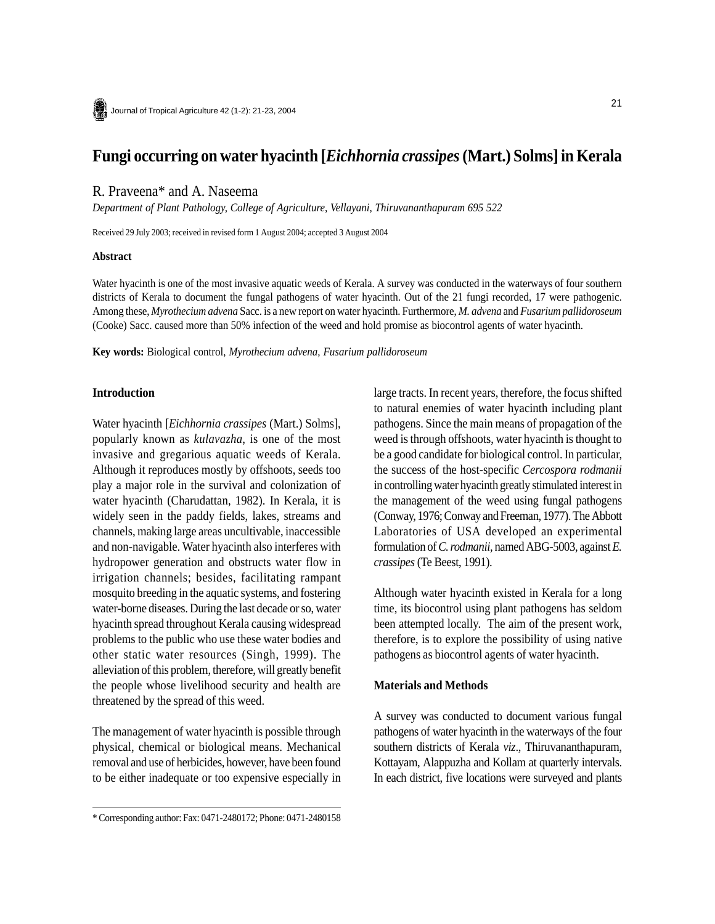# **Fungi occurring on water hyacinth [***Eichhornia crassipes* **(Mart.) Solms] in Kerala**

# R. Praveena\* and A. Naseema

*Department of Plant Pathology, College of Agriculture, Vellayani, Thiruvananthapuram 695 522*

Received 29 July 2003; received in revised form 1 August 2004; accepted 3 August 2004

#### **Abstract**

Water hyacinth is one of the most invasive aquatic weeds of Kerala. A survey was conducted in the waterways of four southern districts of Kerala to document the fungal pathogens of water hyacinth. Out of the 21 fungi recorded, 17 were pathogenic. Among these, *Myrothecium advena* Sacc. is a new report on water hyacinth. Furthermore, *M. advena* and *Fusarium pallidoroseum* (Cooke) Sacc. caused more than 50% infection of the weed and hold promise as biocontrol agents of water hyacinth.

**Key words:** Biological control, *Myrothecium advena, Fusarium pallidoroseum*

#### **Introduction**

Water hyacinth [*Eichhornia crassipes* (Mart.) Solms], popularly known as *kulavazha*, is one of the most invasive and gregarious aquatic weeds of Kerala. Although it reproduces mostly by offshoots, seeds too play a major role in the survival and colonization of water hyacinth (Charudattan, 1982). In Kerala, it is widely seen in the paddy fields, lakes, streams and channels, making large areas uncultivable, inaccessible and non-navigable. Water hyacinth also interferes with hydropower generation and obstructs water flow in irrigation channels; besides, facilitating rampant mosquito breeding in the aquatic systems, and fostering water-borne diseases. During the last decade or so, water hyacinth spread throughout Kerala causing widespread problems to the public who use these water bodies and other static water resources (Singh, 1999). The alleviation of this problem, therefore, will greatly benefit the people whose livelihood security and health are threatened by the spread of this weed.

The management of water hyacinth is possible through physical, chemical or biological means. Mechanical removal and use of herbicides, however, have been found to be either inadequate or too expensive especially in large tracts. In recent years, therefore, the focus shifted to natural enemies of water hyacinth including plant pathogens. Since the main means of propagation of the weed is through offshoots, water hyacinth is thought to be a good candidate for biological control. In particular, the success of the host-specific *Cercospora rodmanii* in controlling water hyacinth greatly stimulated interest in the management of the weed using fungal pathogens (Conway, 1976; Conway and Freeman, 1977). The Abbott Laboratories of USA developed an experimental formulation of *C. rodmanii,* named ABG-5003, against *E. crassipes* (Te Beest, 1991).

Although water hyacinth existed in Kerala for a long time, its biocontrol using plant pathogens has seldom been attempted locally. The aim of the present work, therefore, is to explore the possibility of using native pathogens as biocontrol agents of water hyacinth.

#### **Materials and Methods**

A survey was conducted to document various fungal pathogens of water hyacinth in the waterways of the four southern districts of Kerala *viz*., Thiruvananthapuram, Kottayam, Alappuzha and Kollam at quarterly intervals. In each district, five locations were surveyed and plants

<sup>\*</sup> Corresponding author: Fax: 0471-2480172; Phone: 0471-2480158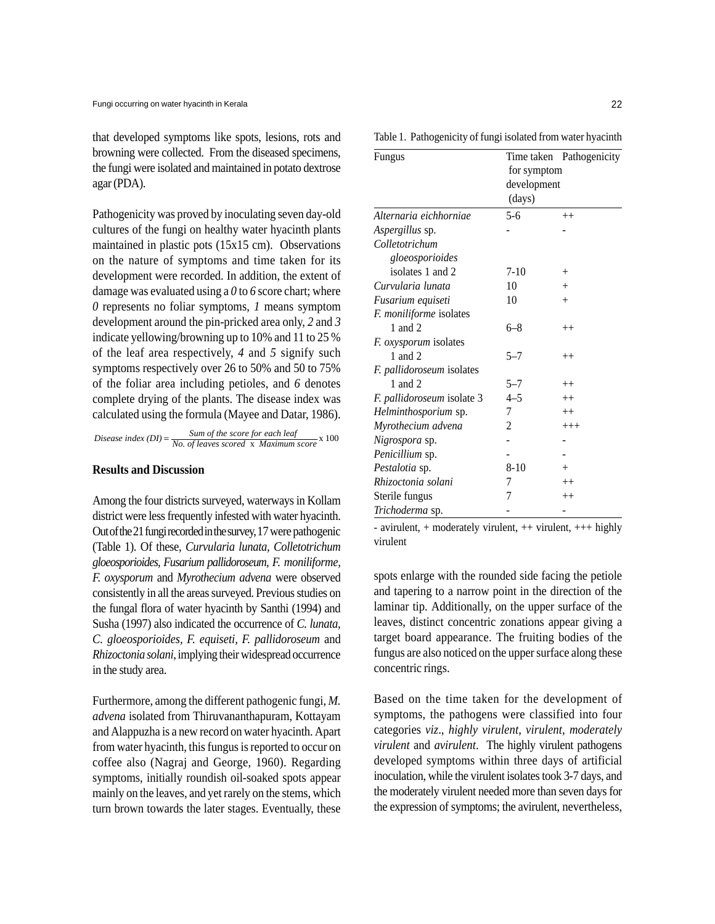that developed symptoms like spots, lesions, rots and browning were collected. From the diseased specimens, the fungi were isolated and maintained in potato dextrose agar (PDA).

Pathogenicity was proved by inoculating seven day-old cultures of the fungi on healthy water hyacinth plants maintained in plastic pots (15x15 cm). Observations on the nature of symptoms and time taken for its development were recorded. In addition, the extent of damage was evaluated using a *0* to *6* score chart; where *0* represents no foliar symptoms, *1* means symptom development around the pin-pricked area only, *2* and *3* indicate yellowing/browning up to 10% and 11 to 25 % of the leaf area respectively, *4* and *5* signify such symptoms respectively over 26 to 50% and 50 to 75% of the foliar area including petioles, and *6* denotes complete drying of the plants. The disease index was calculated using the formula (Mayee and Datar, 1986).

$$
Disease index (DI) = \frac{Sum of the score for each leaf}{No. of leaves scored x Maximum score} \times 100
$$

# **Results and Discussion**

Among the four districts surveyed, waterways in Kollam district were less frequently infested with water hyacinth. Out of the 21 fungi recorded in the survey, 17 were pathogenic (Table 1). Of these, *Curvularia lunata, Colletotrichum gloeosporioides, Fusarium pallidoroseum, F. moniliforme, F. oxysporum* and *Myrothecium advena* were observed consistently in all the areas surveyed. Previous studies on the fungal flora of water hyacinth by Santhi (1994) and Susha (1997) also indicated the occurrence of *C. lunata, C. gloeosporioides, F. equiseti, F. pallidoroseum* and *Rhizoctonia solani*, implying their widespread occurrence in the study area.

Furthermore, among the different pathogenic fungi, *M. advena* isolated from Thiruvananthapuram, Kottayam and Alappuzha is a new record on water hyacinth. Apart from water hyacinth, this fungus is reported to occur on coffee also (Nagraj and George, 1960). Regarding symptoms, initially roundish oil-soaked spots appear mainly on the leaves, and yet rarely on the stems, which turn brown towards the later stages. Eventually, these

| Fungus                     |                            | Time taken Pathogenicity |
|----------------------------|----------------------------|--------------------------|
|                            | for symptom<br>development |                          |
|                            |                            |                          |
|                            | Alternaria eichhorniae     | $5 - 6$                  |
| Aspergillus sp.            |                            |                          |
| Colletotrichum             |                            |                          |
| gloeosporioides            |                            |                          |
| isolates 1 and 2           | $7-10$                     | $^{+}$                   |
| Curvularia lunata          | 10                         | $^{+}$                   |
| Fusarium equiseti          | 10                         | $^{+}$                   |
| F. moniliforme isolates    |                            |                          |
| 1 and 2                    | 6–8                        | $^{++}$                  |
| F. oxysporum isolates      |                            |                          |
| 1 and 2                    | $5 - 7$                    | $^{++}$                  |
| F. pallidoroseum isolates  |                            |                          |
| 1 and 2                    | $5 - 7$                    | $^{++}$                  |
| F. pallidoroseum isolate 3 | $4 - 5$                    | $^{++}$                  |
| Helminthosporium sp.       | 7                          | $^{++}$                  |
| Myrothecium advena         | 2                          | $^{+++}$                 |
| Nigrospora sp.             |                            |                          |
| Penicillium sp.            |                            |                          |
| Pestalotia sp.             | $8 - 10$                   | $^{+}$                   |
| Rhizoctonia solani         | 7                          | $^{++}$                  |
| Sterile fungus             | 7                          | $^{++}$                  |
| Trichoderma sp.            |                            |                          |

- avirulent, + moderately virulent, ++ virulent, +++ highly virulent

spots enlarge with the rounded side facing the petiole and tapering to a narrow point in the direction of the laminar tip. Additionally, on the upper surface of the leaves, distinct concentric zonations appear giving a target board appearance. The fruiting bodies of the fungus are also noticed on the upper surface along these concentric rings.

Based on the time taken for the development of symptoms, the pathogens were classified into four categories *viz*., *highly virulent, virulent, moderately virulent* and *avirulent*. The highly virulent pathogens developed symptoms within three days of artificial inoculation, while the virulent isolates took 3-7 days, and the moderately virulent needed more than seven days for the expression of symptoms; the avirulent, nevertheless,

Table 1. Pathogenicity of fungi isolated from water hyacinth